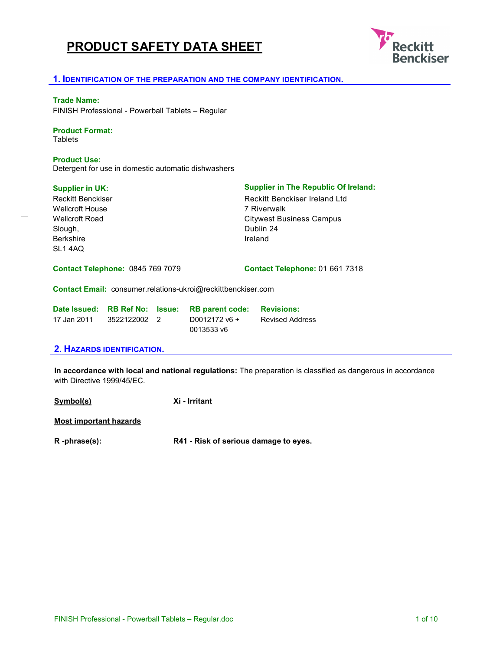# **PRODUCT SAFETY DATA SHEET**



#### **1. IDENTIFICATION OF THE PREPARATION AND THE COMPANY IDENTIFICATION.**

#### **Trade Name:**

FINISH Professional - Powerball Tablets – Regular

#### **Product Format:**

**Tablets** 

#### **Product Use:**

Detergent for use in domestic automatic dishwashers

Reckitt Benckiser Wellcroft House Wellcroft Road Slough, Berkshire SL1 4AQ

#### **Supplier in UK: Supplier in The Republic Of Ireland:**

Reckitt Benckiser Ireland Ltd 7 Riverwalk Citywest Business Campus Dublin 24 Ireland

**Contact Telephone:** 0845 769 7079

**Contact Telephone:** 01 661 7318

**Contact Email:** consumer.relations-ukroi@reckittbenckiser.com

| Date Issued: | <b>RB Ref No: Issue:</b> | <b>RB parent code:</b> | <b>Revisions:</b>      |
|--------------|--------------------------|------------------------|------------------------|
| 17 Jan 2011  | 3522122002 2             | $D0012172$ v6 +        | <b>Revised Address</b> |
|              |                          | 0013533 v6             |                        |

#### **2. HAZARDS IDENTIFICATION.**

**In accordance with local and national regulations:** The preparation is classified as dangerous in accordance with Directive 1999/45/EC.

**Symbol(s) Xi - Irritant** 

**Most important hazards**

**R -phrase(s): R41 - Risk of serious damage to eyes.**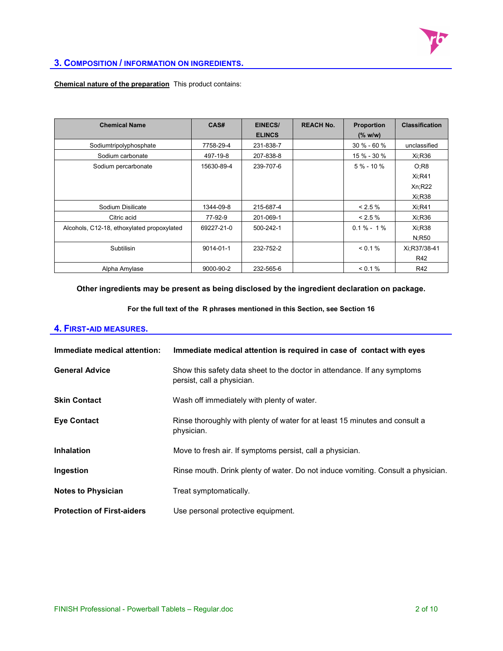

#### **3. COMPOSITION / INFORMATION ON INGREDIENTS.**

#### **Chemical nature of the preparation** This product contains:

| <b>Chemical Name</b>                       | CAS#       | EINECS/       | <b>REACH No.</b> | <b>Proportion</b> | <b>Classification</b> |
|--------------------------------------------|------------|---------------|------------------|-------------------|-----------------------|
|                                            |            | <b>ELINCS</b> |                  | (% w/w)           |                       |
| Sodiumtripolyphosphate                     | 7758-29-4  | 231-838-7     |                  | $30 \% - 60 \%$   | unclassified          |
| Sodium carbonate                           | 497-19-8   | 207-838-8     |                  | 15 % - 30 %       | Xi:R36                |
| Sodium percarbonate                        | 15630-89-4 | 239-707-6     |                  | $5\% - 10\%$      | O;R8                  |
|                                            |            |               |                  |                   | Xi:R41                |
|                                            |            |               |                  |                   | Xn;R22                |
|                                            |            |               |                  |                   | Xi:R38                |
| Sodium Disilicate                          | 1344-09-8  | 215-687-4     |                  | $< 2.5 \%$        | $Xi$ :R41             |
| Citric acid                                | 77-92-9    | 201-069-1     |                  | < 2.5 %           | Xi:R36                |
| Alcohols, C12-18, ethoxylated propoxylated | 69227-21-0 | 500-242-1     |                  | $0.1\% - 1\%$     | Xi:R38                |
|                                            |            |               |                  |                   | N:R50                 |
| Subtilisin                                 | 9014-01-1  | 232-752-2     |                  | < 0.1 %           | Xi:R37/38-41          |
|                                            |            |               |                  |                   | R42                   |
| Alpha Amylase                              | 9000-90-2  | 232-565-6     |                  | $< 0.1\%$         | R42                   |

#### **Other ingredients may be present as being disclosed by the ingredient declaration on package.**

**For the full text of the R phrases mentioned in this Section, see Section 16** 

#### **4. FIRST-AID MEASURES.**

| Immediate medical attention:      | Immediate medical attention is required in case of contact with eyes                                   |
|-----------------------------------|--------------------------------------------------------------------------------------------------------|
| <b>General Advice</b>             | Show this safety data sheet to the doctor in attendance. If any symptoms<br>persist, call a physician. |
| <b>Skin Contact</b>               | Wash off immediately with plenty of water.                                                             |
| <b>Eye Contact</b>                | Rinse thoroughly with plenty of water for at least 15 minutes and consult a<br>physician.              |
| Inhalation                        | Move to fresh air. If symptoms persist, call a physician.                                              |
| Ingestion                         | Rinse mouth. Drink plenty of water. Do not induce vomiting. Consult a physician.                       |
| <b>Notes to Physician</b>         | Treat symptomatically.                                                                                 |
| <b>Protection of First-aiders</b> | Use personal protective equipment.                                                                     |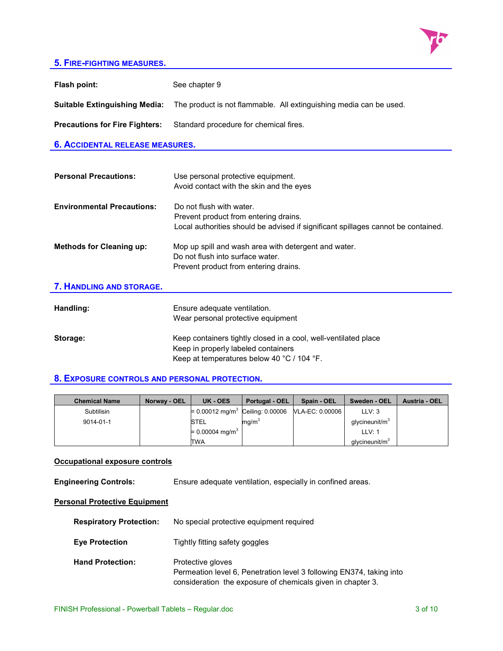

### **5. FIRE-FIGHTING MEASURES.**

| Flash point:                           | See chapter 9                                                                                                                                          |  |
|----------------------------------------|--------------------------------------------------------------------------------------------------------------------------------------------------------|--|
| <b>Suitable Extinguishing Media:</b>   | The product is not flammable. All extinguishing media can be used.                                                                                     |  |
| <b>Precautions for Fire Fighters:</b>  | Standard procedure for chemical fires.                                                                                                                 |  |
| <b>6. ACCIDENTAL RELEASE MEASURES.</b> |                                                                                                                                                        |  |
|                                        |                                                                                                                                                        |  |
| <b>Personal Precautions:</b>           | Use personal protective equipment.<br>Avoid contact with the skin and the eyes                                                                         |  |
| <b>Environmental Precautions:</b>      | Do not flush with water.<br>Prevent product from entering drains.<br>Local authorities should be advised if significant spillages cannot be contained. |  |
| <b>Methods for Cleaning up:</b>        | Mop up spill and wash area with detergent and water.<br>Do not flush into surface water.<br>Prevent product from entering drains.                      |  |
| 7. HANDLING AND STORAGE.               |                                                                                                                                                        |  |
| Handling:                              | Ensure adequate ventilation.<br>Wear personal protective equipment                                                                                     |  |

**Storage: Keep containers tightly closed in a cool, well-ventilated place** Keep in properly labeled containers Keep at temperatures below 40 °C / 104 °F.

#### **8. EXPOSURE CONTROLS AND PERSONAL PROTECTION.**

| <b>Chemical Name</b> | Norway - OEL | UK - OES                    | Portugal - OEL    | Spain - OEL                                                  | Sweden - OEL               | Austria - OEL |
|----------------------|--------------|-----------------------------|-------------------|--------------------------------------------------------------|----------------------------|---------------|
| Subtilisin           |              |                             |                   | = 0.00012 mg/m <sup>3</sup> Ceiling: 0.00006 VLA-EC: 0.00006 | LLV: 3                     |               |
| 9014-01-1            |              | <b>STEL</b>                 | mq/m <sup>3</sup> |                                                              | qlycineunit/m <sup>3</sup> |               |
|                      |              | = 0.00004 mg/m <sup>3</sup> |                   |                                                              | LLV: 1                     |               |
|                      |              | TWA                         |                   |                                                              | qlycineunit/m <sup>3</sup> |               |

### **Occupational exposure controls**

**Engineering Controls:** Ensure adequate ventilation, especially in confined areas.

### **Personal Protective Equipment**

| <b>Respiratory Protection:</b> | No special protective equipment required                                                                                                                 |
|--------------------------------|----------------------------------------------------------------------------------------------------------------------------------------------------------|
| <b>Eye Protection</b>          | Tightly fitting safety goggles                                                                                                                           |
| <b>Hand Protection:</b>        | Protective gloves<br>Permeation level 6, Penetration level 3 following EN374, taking into<br>consideration the exposure of chemicals given in chapter 3. |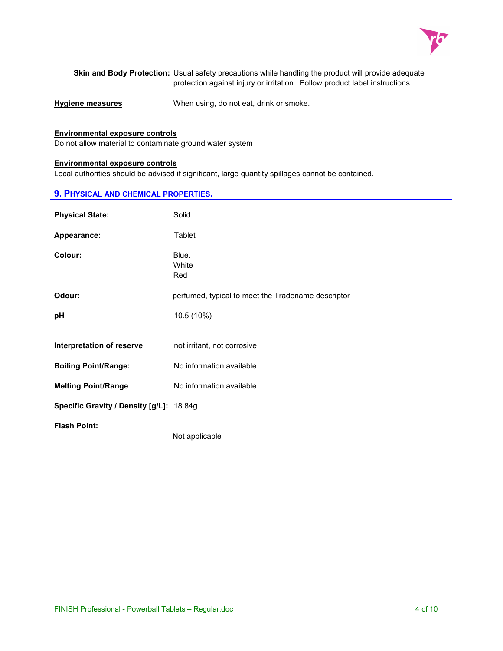

 **Skin and Body Protection:** Usual safety precautions while handling the product will provide adequate protection against injury or irritation. Follow product label instructions.

**Hygiene measures** When using, do not eat, drink or smoke.

#### **Environmental exposure controls**

Do not allow material to contaminate ground water system

#### **Environmental exposure controls**

Local authorities should be advised if significant, large quantity spillages cannot be contained.

#### **9. PHYSICAL AND CHEMICAL PROPERTIES.**

| <b>Physical State:</b>                   | Solid.                                             |
|------------------------------------------|----------------------------------------------------|
| Appearance:                              | Tablet                                             |
| Colour:                                  | Blue.<br>White<br>Red                              |
| Odour:                                   | perfumed, typical to meet the Tradename descriptor |
| рH                                       | 10.5 (10%)                                         |
|                                          |                                                    |
| Interpretation of reserve                | not irritant, not corrosive                        |
| <b>Boiling Point/Range:</b>              | No information available                           |
| <b>Melting Point/Range</b>               | No information available                           |
| Specific Gravity / Density [g/L]: 18.84g |                                                    |
| <b>Flash Point:</b>                      | Not applicable                                     |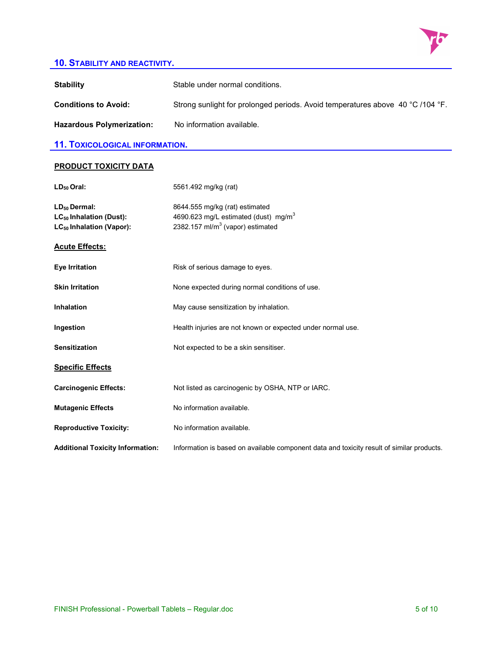

# **10. STABILITY AND REACTIVITY.**

| <b>Stability</b>                                                                                 | Stable under normal conditions.                                                                                                    |
|--------------------------------------------------------------------------------------------------|------------------------------------------------------------------------------------------------------------------------------------|
| <b>Conditions to Avoid:</b>                                                                      | Strong sunlight for prolonged periods. Avoid temperatures above 40 °C /104 °F.                                                     |
| <b>Hazardous Polymerization:</b>                                                                 | No information available.                                                                                                          |
| <b>11. TOXICOLOGICAL INFORMATION.</b>                                                            |                                                                                                                                    |
| <b>PRODUCT TOXICITY DATA</b>                                                                     |                                                                                                                                    |
| $LD50$ Oral:                                                                                     | 5561.492 mg/kg (rat)                                                                                                               |
| $LD_{50}$ Dermal:<br>LC <sub>50</sub> Inhalation (Dust):<br>LC <sub>50</sub> Inhalation (Vapor): | 8644.555 mg/kg (rat) estimated<br>4690.623 mg/L estimated (dust) mg/m <sup>3</sup><br>2382.157 ml/m <sup>3</sup> (vapor) estimated |
| <b>Acute Effects:</b>                                                                            |                                                                                                                                    |
| <b>Eye Irritation</b>                                                                            | Risk of serious damage to eyes.                                                                                                    |
| <b>Skin Irritation</b>                                                                           | None expected during normal conditions of use.                                                                                     |
| <b>Inhalation</b>                                                                                | May cause sensitization by inhalation.                                                                                             |
| Ingestion                                                                                        | Health injuries are not known or expected under normal use.                                                                        |
| <b>Sensitization</b>                                                                             | Not expected to be a skin sensitiser.                                                                                              |
| <b>Specific Effects</b>                                                                          |                                                                                                                                    |
| <b>Carcinogenic Effects:</b>                                                                     | Not listed as carcinogenic by OSHA, NTP or IARC.                                                                                   |
| <b>Mutagenic Effects</b>                                                                         | No information available.                                                                                                          |
| <b>Reproductive Toxicity:</b>                                                                    | No information available.                                                                                                          |
| <b>Additional Toxicity Information:</b>                                                          | Information is based on available component data and toxicity result of similar products.                                          |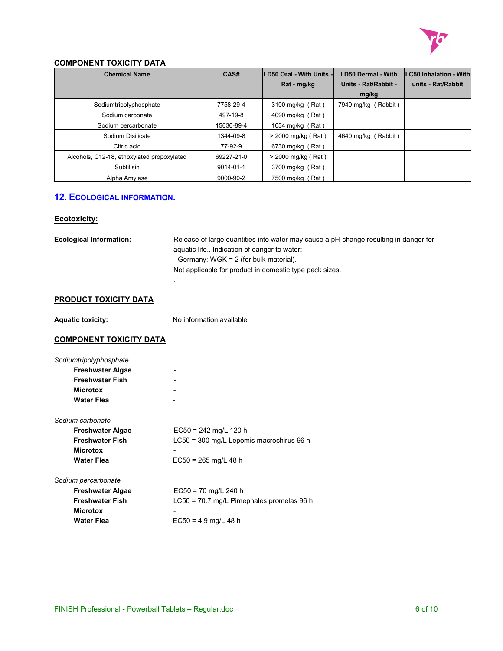

#### **COMPONENT TOXICITY DATA**

| <b>Chemical Name</b>                       | CAS#       | <b>ILD50 Oral - With Units -</b> | <b>LD50 Dermal - With</b> | <b>LC50 Inhalation - With</b> |
|--------------------------------------------|------------|----------------------------------|---------------------------|-------------------------------|
|                                            |            | Rat - mg/kg                      | Units - Rat/Rabbit -      | units - Rat/Rabbit            |
|                                            |            |                                  | mg/kg                     |                               |
| Sodiumtripolyphosphate                     | 7758-29-4  | 3100 mg/kg (Rat)                 | 7940 mg/kg (Rabbit)       |                               |
| Sodium carbonate                           | 497-19-8   | 4090 mg/kg (Rat)                 |                           |                               |
| Sodium percarbonate                        | 15630-89-4 | 1034 mg/kg (Rat)                 |                           |                               |
| Sodium Disilicate                          | 1344-09-8  | > 2000 mg/kg (Rat)               | 4640 mg/kg (Rabbit)       |                               |
| Citric acid                                | 77-92-9    | 6730 mg/kg (Rat)                 |                           |                               |
| Alcohols, C12-18, ethoxylated propoxylated | 69227-21-0 | > 2000 mg/kg (Rat)               |                           |                               |
| Subtilisin                                 | 9014-01-1  | 3700 mg/kg (Rat)                 |                           |                               |
| Alpha Amylase                              | 9000-90-2  | 7500 mg/kg (Rat)                 |                           |                               |

# **12. ECOLOGICAL INFORMATION.**

#### **Ecotoxicity:**

| <b>Ecological Information:</b> | Release of large quantities into water may cause a pH-change resulting in danger for<br>aquatic life Indication of danger to water:<br>- Germany: WGK = 2 (for bulk material).<br>Not applicable for product in domestic type pack sizes. |
|--------------------------------|-------------------------------------------------------------------------------------------------------------------------------------------------------------------------------------------------------------------------------------------|
| <b>PRODUCT TOXICITY DATA</b>   |                                                                                                                                                                                                                                           |
| <b>Aquatic toxicity:</b>       | No information available                                                                                                                                                                                                                  |
| <b>COMPONENT TOXICITY DATA</b> |                                                                                                                                                                                                                                           |
| Sodiumtripolyphosphate         |                                                                                                                                                                                                                                           |
| <b>Freshwater Algae</b>        |                                                                                                                                                                                                                                           |
| <b>Freshwater Fish</b>         |                                                                                                                                                                                                                                           |
| <b>Microtox</b>                |                                                                                                                                                                                                                                           |
| <b>Water Flea</b>              |                                                                                                                                                                                                                                           |
| Sodium carbonate               |                                                                                                                                                                                                                                           |
| <b>Freshwater Algae</b>        | $EC50 = 242$ mg/L 120 h                                                                                                                                                                                                                   |
| <b>Freshwater Fish</b>         | LC50 = 300 mg/L Lepomis macrochirus 96 h                                                                                                                                                                                                  |
| <b>Microtox</b>                |                                                                                                                                                                                                                                           |
| <b>Water Flea</b>              | $EC50 = 265$ mg/L 48 h                                                                                                                                                                                                                    |
| Sodium percarbonate            |                                                                                                                                                                                                                                           |
| <b>Freshwater Algae</b>        | $EC50 = 70$ mg/L 240 h                                                                                                                                                                                                                    |
| <b>Freshwater Fish</b>         | LC50 = 70.7 mg/L Pimephales promelas 96 h                                                                                                                                                                                                 |
| <b>Microtox</b>                |                                                                                                                                                                                                                                           |
| <b>Water Flea</b>              | $EC50 = 4.9$ mg/L 48 h                                                                                                                                                                                                                    |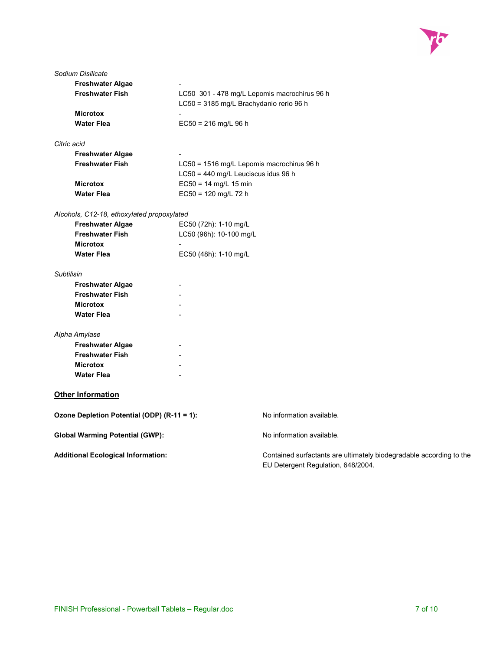

| Sodium Disilicate                           |                                              |                                                                                                           |  |
|---------------------------------------------|----------------------------------------------|-----------------------------------------------------------------------------------------------------------|--|
| <b>Freshwater Algae</b>                     |                                              |                                                                                                           |  |
| <b>Freshwater Fish</b>                      | LC50 301 - 478 mg/L Lepomis macrochirus 96 h |                                                                                                           |  |
|                                             | LC50 = 3185 mg/L Brachydanio rerio 96 h      |                                                                                                           |  |
| <b>Microtox</b>                             |                                              |                                                                                                           |  |
| <b>Water Flea</b>                           | $EC50 = 216$ mg/L 96 h                       |                                                                                                           |  |
| Citric acid                                 |                                              |                                                                                                           |  |
| <b>Freshwater Algae</b>                     |                                              |                                                                                                           |  |
| <b>Freshwater Fish</b>                      |                                              | LC50 = 1516 mg/L Lepomis macrochirus 96 h                                                                 |  |
|                                             | LC50 = 440 mg/L Leuciscus idus 96 h          |                                                                                                           |  |
| <b>Microtox</b>                             | $EC50 = 14$ mg/L 15 min                      |                                                                                                           |  |
| <b>Water Flea</b>                           | EC50 = 120 mg/L 72 h                         |                                                                                                           |  |
| Alcohols, C12-18, ethoxylated propoxylated  |                                              |                                                                                                           |  |
| <b>Freshwater Algae</b>                     | EC50 (72h): 1-10 mg/L                        |                                                                                                           |  |
| <b>Freshwater Fish</b>                      | LC50 (96h): 10-100 mg/L                      |                                                                                                           |  |
| <b>Microtox</b>                             |                                              |                                                                                                           |  |
| <b>Water Flea</b>                           | EC50 (48h): 1-10 mg/L                        |                                                                                                           |  |
| Subtilisin                                  |                                              |                                                                                                           |  |
| <b>Freshwater Algae</b>                     |                                              |                                                                                                           |  |
| <b>Freshwater Fish</b>                      |                                              |                                                                                                           |  |
| <b>Microtox</b>                             |                                              |                                                                                                           |  |
| <b>Water Flea</b>                           |                                              |                                                                                                           |  |
| Alpha Amylase                               |                                              |                                                                                                           |  |
| <b>Freshwater Algae</b>                     |                                              |                                                                                                           |  |
| <b>Freshwater Fish</b>                      |                                              |                                                                                                           |  |
| <b>Microtox</b>                             |                                              |                                                                                                           |  |
| <b>Water Flea</b>                           |                                              |                                                                                                           |  |
| <b>Other Information</b>                    |                                              |                                                                                                           |  |
| Ozone Depletion Potential (ODP) (R-11 = 1): |                                              | No information available.                                                                                 |  |
| <b>Global Warming Potential (GWP):</b>      |                                              | No information available.                                                                                 |  |
| <b>Additional Ecological Information:</b>   |                                              | Contained surfactants are ultimately biodegradable according to the<br>EU Detergent Regulation, 648/2004. |  |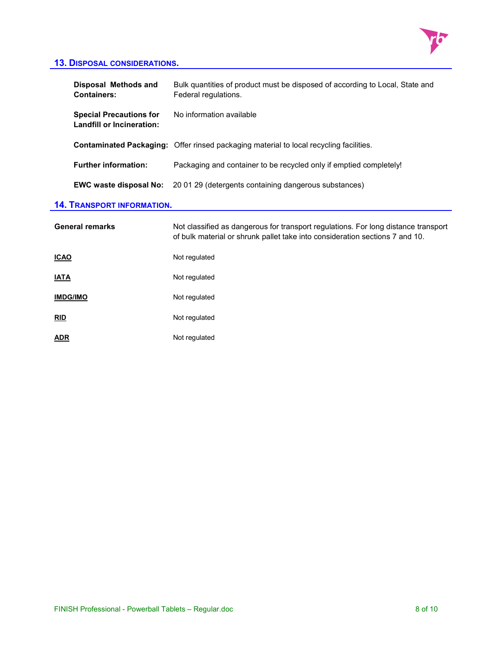

# **13. DISPOSAL CONSIDERATIONS.**

| <b>Disposal Methods and</b><br><b>Containers:</b>                  | Bulk quantities of product must be disposed of according to Local, State and<br>Federal regulations.                                                               |
|--------------------------------------------------------------------|--------------------------------------------------------------------------------------------------------------------------------------------------------------------|
| <b>Special Precautions for</b><br><b>Landfill or Incineration:</b> | No information available                                                                                                                                           |
|                                                                    | <b>Contaminated Packaging:</b> Offer rinsed packaging material to local recycling facilities.                                                                      |
| <b>Further information:</b>                                        | Packaging and container to be recycled only if emptied completely!                                                                                                 |
| <b>EWC waste disposal No:</b>                                      | 20 01 29 (detergents containing dangerous substances)                                                                                                              |
| <b>14. TRANSPORT INFORMATION.</b>                                  |                                                                                                                                                                    |
| <b>General remarks</b>                                             | Not classified as dangerous for transport regulations. For long distance transport<br>of bulk material or shrunk pallet take into consideration sections 7 and 10. |
| <u>ICAO</u>                                                        | Not regulated                                                                                                                                                      |
| IATA                                                               | Not regulated                                                                                                                                                      |
| <u>IMDG/IMO</u>                                                    | Not regulated                                                                                                                                                      |
|                                                                    |                                                                                                                                                                    |
| <u>RID</u>                                                         | Not regulated                                                                                                                                                      |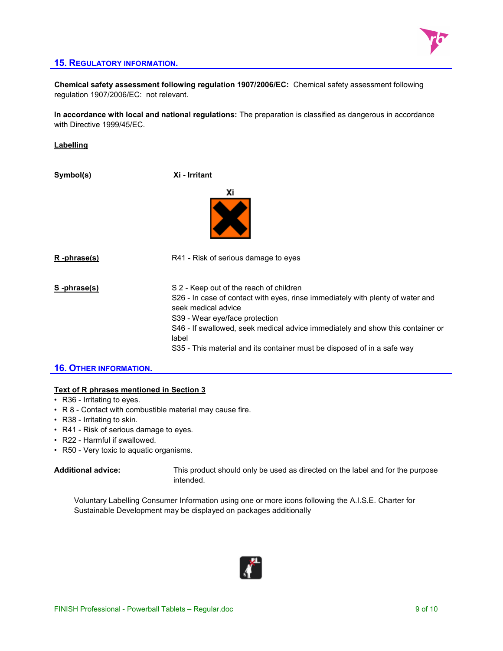

#### **15. REGULATORY INFORMATION.**

**Chemical safety assessment following regulation 1907/2006/EC:** Chemical safety assessment following regulation 1907/2006/EC: not relevant.

**In accordance with local and national regulations:** The preparation is classified as dangerous in accordance with Directive 1999/45/EC.

#### **Labelling**

| Symbol(s)          | Xi - Irritant                                                                                                                                                                                                                                                                                                                                            |
|--------------------|----------------------------------------------------------------------------------------------------------------------------------------------------------------------------------------------------------------------------------------------------------------------------------------------------------------------------------------------------------|
|                    | Хi                                                                                                                                                                                                                                                                                                                                                       |
| <u>R-phrase(s)</u> | R41 - Risk of serious damage to eyes                                                                                                                                                                                                                                                                                                                     |
| S-phrase(s)        | S 2 - Keep out of the reach of children<br>S26 - In case of contact with eyes, rinse immediately with plenty of water and<br>seek medical advice<br>S39 - Wear eye/face protection<br>S46 - If swallowed, seek medical advice immediately and show this container or<br>label<br>S35 - This material and its container must be disposed of in a safe way |

# **16. OTHER INFORMATION.**

#### **Text of R phrases mentioned in Section 3**

- R36 Irritating to eyes.
- R 8 Contact with combustible material may cause fire.
- R38 Irritating to skin.
- R41 Risk of serious damage to eyes.
- R22 Harmful if swallowed.
- R50 Very toxic to aquatic organisms.

**Additional advice:** This product should only be used as directed on the label and for the purpose intended.

Voluntary Labelling Consumer Information using one or more icons following the A.I.S.E. Charter for Sustainable Development may be displayed on packages additionally